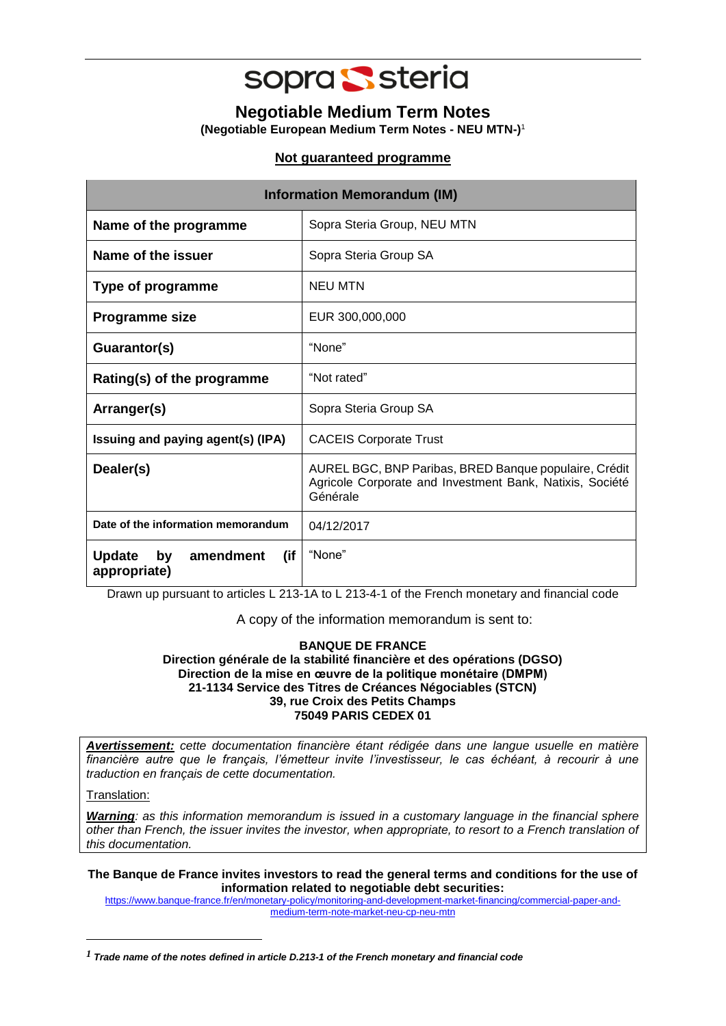

**Negotiable Medium Term Notes (Negotiable European Medium Term Notes - NEU MTN-)** 1

## **Not guaranteed programme**

| <b>Information Memorandum (IM)</b>                      |                                                                                                                               |  |
|---------------------------------------------------------|-------------------------------------------------------------------------------------------------------------------------------|--|
| Name of the programme                                   | Sopra Steria Group, NEU MTN                                                                                                   |  |
| Name of the issuer                                      | Sopra Steria Group SA                                                                                                         |  |
| Type of programme                                       | NEU MTN                                                                                                                       |  |
| Programme size                                          | EUR 300,000,000                                                                                                               |  |
| Guarantor(s)                                            | "None"                                                                                                                        |  |
| Rating(s) of the programme                              | "Not rated"                                                                                                                   |  |
| Arranger(s)                                             | Sopra Steria Group SA                                                                                                         |  |
| Issuing and paying agent(s) (IPA)                       | <b>CACEIS Corporate Trust</b>                                                                                                 |  |
| Dealer(s)                                               | AUREL BGC, BNP Paribas, BRED Banque populaire, Crédit<br>Agricole Corporate and Investment Bank, Natixis, Société<br>Générale |  |
| Date of the information memorandum                      | 04/12/2017                                                                                                                    |  |
| (if<br><b>Update</b><br>amendment<br>by<br>appropriate) | "None"                                                                                                                        |  |

Drawn up pursuant to articles L 213-1A to L 213-4-1 of the French monetary and financial code

A copy of the information memorandum is sent to:

## **BANQUE DE FRANCE Direction générale de la stabilité financière et des opérations (DGSO) Direction de la mise en œuvre de la politique monétaire (DMPM) 21-1134 Service des Titres de Créances Négociables (STCN) 39, rue Croix des Petits Champs 75049 PARIS CEDEX 01**

*Avertissement: cette documentation financière étant rédigée dans une langue usuelle en matière financière autre que le français, l'émetteur invite l'investisseur, le cas échéant, à recourir à une traduction en français de cette documentation.*

Translation:

-

*Warning: as this information memorandum is issued in a customary language in the financial sphere other than French, the issuer invites the investor, when appropriate, to resort to a French translation of this documentation.* 

**The Banque de France invites investors to read the general terms and conditions for the use of information related to negotiable debt securities:**

[https://www.banque-france.fr/en/monetary-policy/monitoring-and-development-market-financing/commercial-paper-and](https://www.banque-france.fr/en/monetary-policy/monitoring-and-development-market-financing/commercial-paper-and-medium-term-note-market-neu-cp-neu-mtn)[medium-term-note-market-neu-cp-neu-mtn](https://www.banque-france.fr/en/monetary-policy/monitoring-and-development-market-financing/commercial-paper-and-medium-term-note-market-neu-cp-neu-mtn)

*<sup>1</sup> Trade name of the notes defined in article D.213-1 of the French monetary and financial code*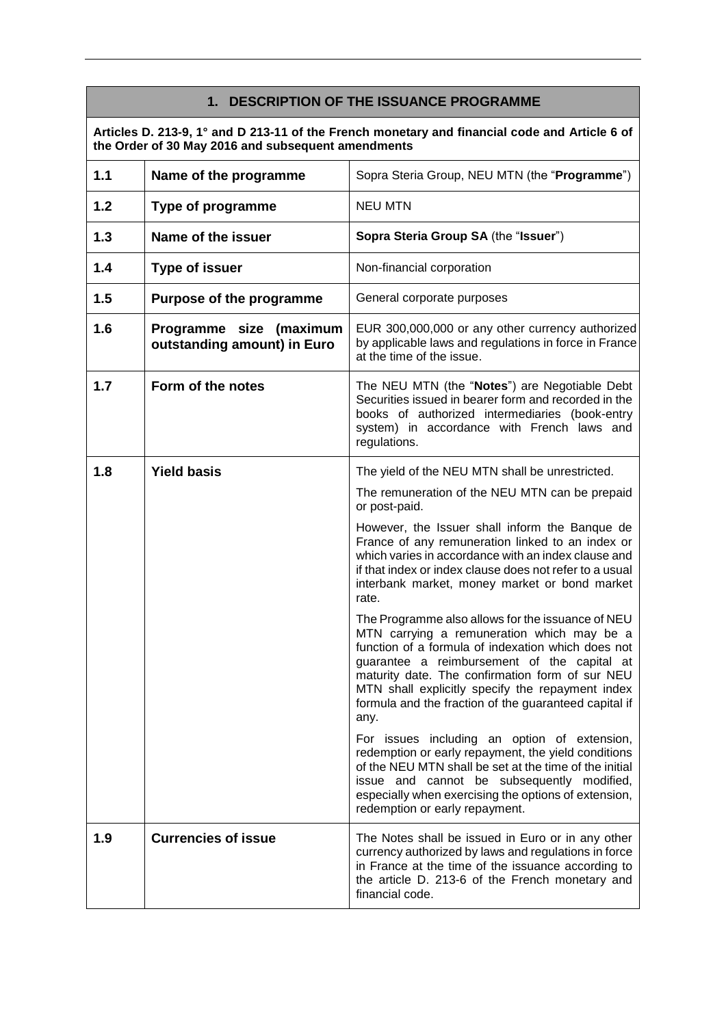## **1. DESCRIPTION OF THE ISSUANCE PROGRAMME**

**Articles D. 213-9, 1° and D 213-11 of the French monetary and financial code and Article 6 of the Order of 30 May 2016 and subsequent amendments**

| 1.1 | Name of the programme                                  | Sopra Steria Group, NEU MTN (the "Programme")                                                                                                                                                                                                                                                                                                                                |
|-----|--------------------------------------------------------|------------------------------------------------------------------------------------------------------------------------------------------------------------------------------------------------------------------------------------------------------------------------------------------------------------------------------------------------------------------------------|
| 1.2 | <b>Type of programme</b>                               | <b>NEU MTN</b>                                                                                                                                                                                                                                                                                                                                                               |
| 1.3 | Name of the issuer                                     | Sopra Steria Group SA (the "Issuer")                                                                                                                                                                                                                                                                                                                                         |
| 1.4 | <b>Type of issuer</b>                                  | Non-financial corporation                                                                                                                                                                                                                                                                                                                                                    |
| 1.5 | Purpose of the programme                               | General corporate purposes                                                                                                                                                                                                                                                                                                                                                   |
| 1.6 | Programme size (maximum<br>outstanding amount) in Euro | EUR 300,000,000 or any other currency authorized<br>by applicable laws and regulations in force in France<br>at the time of the issue.                                                                                                                                                                                                                                       |
| 1.7 | Form of the notes                                      | The NEU MTN (the "Notes") are Negotiable Debt<br>Securities issued in bearer form and recorded in the<br>books of authorized intermediaries (book-entry<br>system) in accordance with French laws and<br>regulations.                                                                                                                                                        |
| 1.8 | <b>Yield basis</b>                                     | The yield of the NEU MTN shall be unrestricted.                                                                                                                                                                                                                                                                                                                              |
|     |                                                        | The remuneration of the NEU MTN can be prepaid<br>or post-paid.                                                                                                                                                                                                                                                                                                              |
|     |                                                        | However, the Issuer shall inform the Banque de<br>France of any remuneration linked to an index or<br>which varies in accordance with an index clause and<br>if that index or index clause does not refer to a usual<br>interbank market, money market or bond market<br>rate.                                                                                               |
|     |                                                        | The Programme also allows for the issuance of NEU<br>MTN carrying a remuneration which may be a<br>function of a formula of indexation which does not<br>guarantee a reimbursement of the capital at<br>maturity date. The confirmation form of sur NEU<br>MTN shall explicitly specify the repayment index<br>formula and the fraction of the guaranteed capital if<br>any. |
|     |                                                        | For issues including an option of extension,<br>redemption or early repayment, the yield conditions<br>of the NEU MTN shall be set at the time of the initial<br>issue and cannot be subsequently modified,<br>especially when exercising the options of extension,<br>redemption or early repayment.                                                                        |
| 1.9 | <b>Currencies of issue</b>                             | The Notes shall be issued in Euro or in any other<br>currency authorized by laws and regulations in force<br>in France at the time of the issuance according to<br>the article D. 213-6 of the French monetary and<br>financial code.                                                                                                                                        |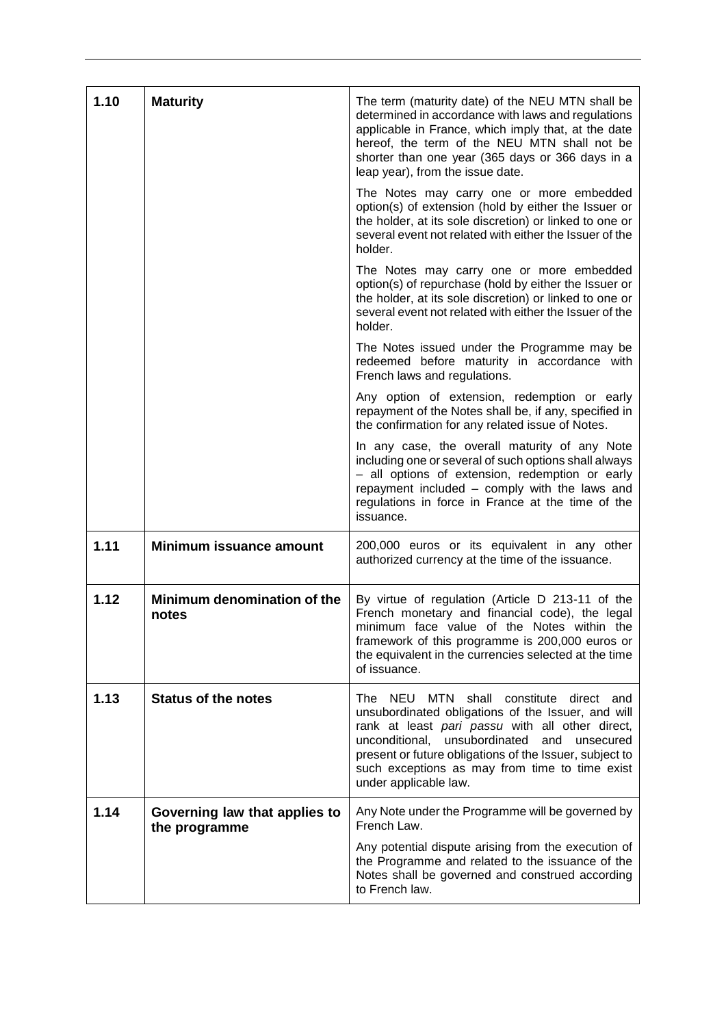| 1.10 | <b>Maturity</b>                                | The term (maturity date) of the NEU MTN shall be<br>determined in accordance with laws and regulations<br>applicable in France, which imply that, at the date<br>hereof, the term of the NEU MTN shall not be<br>shorter than one year (365 days or 366 days in a<br>leap year), from the issue date.                                    |
|------|------------------------------------------------|------------------------------------------------------------------------------------------------------------------------------------------------------------------------------------------------------------------------------------------------------------------------------------------------------------------------------------------|
|      |                                                | The Notes may carry one or more embedded<br>option(s) of extension (hold by either the Issuer or<br>the holder, at its sole discretion) or linked to one or<br>several event not related with either the Issuer of the<br>holder.                                                                                                        |
|      |                                                | The Notes may carry one or more embedded<br>option(s) of repurchase (hold by either the Issuer or<br>the holder, at its sole discretion) or linked to one or<br>several event not related with either the Issuer of the<br>holder.                                                                                                       |
|      |                                                | The Notes issued under the Programme may be<br>redeemed before maturity in accordance with<br>French laws and regulations.                                                                                                                                                                                                               |
|      |                                                | Any option of extension, redemption or early<br>repayment of the Notes shall be, if any, specified in<br>the confirmation for any related issue of Notes.                                                                                                                                                                                |
|      |                                                | In any case, the overall maturity of any Note<br>including one or several of such options shall always<br>- all options of extension, redemption or early<br>repayment included - comply with the laws and<br>regulations in force in France at the time of the<br>issuance.                                                             |
| 1.11 | Minimum issuance amount                        | 200,000 euros or its equivalent in any other<br>authorized currency at the time of the issuance.                                                                                                                                                                                                                                         |
| 1.12 | Minimum denomination of the<br>notes           | By virtue of regulation (Article D 213-11 of the<br>French monetary and financial code), the legal<br>minimum face value of the Notes within the<br>framework of this programme is 200,000 euros or<br>the equivalent in the currencies selected at the time<br>of issuance.                                                             |
| 1.13 | <b>Status of the notes</b>                     | The NEU MTN shall constitute direct and<br>unsubordinated obligations of the Issuer, and will<br>rank at least pari passu with all other direct,<br>unconditional, unsubordinated<br>and unsecured<br>present or future obligations of the Issuer, subject to<br>such exceptions as may from time to time exist<br>under applicable law. |
| 1.14 | Governing law that applies to<br>the programme | Any Note under the Programme will be governed by<br>French Law.                                                                                                                                                                                                                                                                          |
|      |                                                | Any potential dispute arising from the execution of<br>the Programme and related to the issuance of the<br>Notes shall be governed and construed according<br>to French law.                                                                                                                                                             |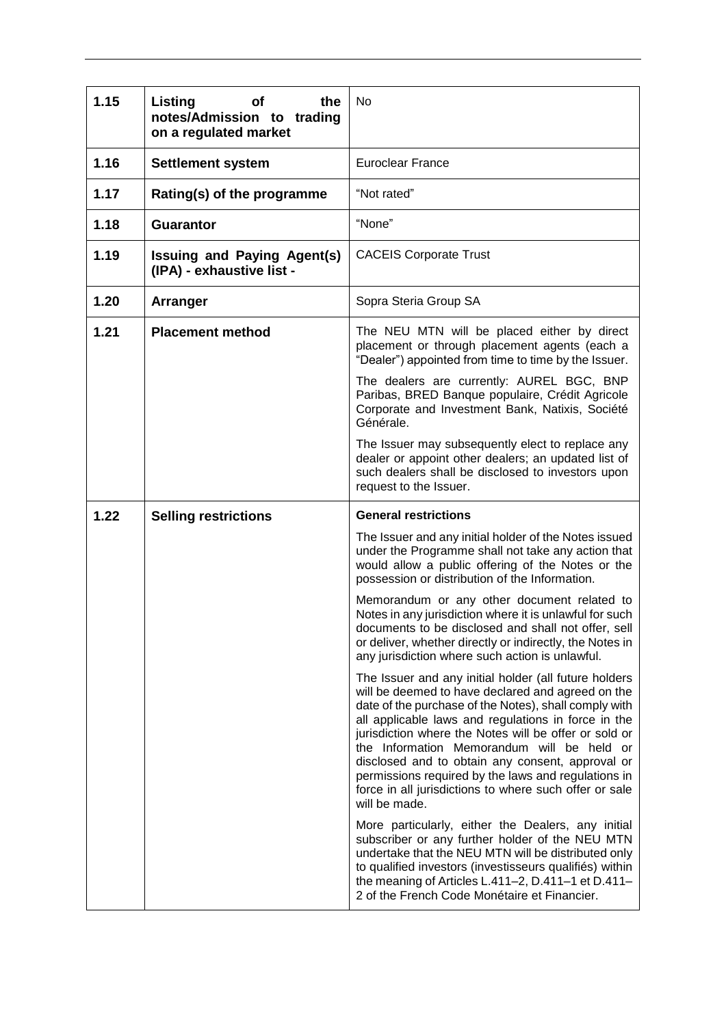| 1.15 | Listing<br><b>of</b><br>the<br>notes/Admission to trading<br>on a regulated market | No                                                                                                                                                                                                                                                                                                                                                                                                                                                                                                                      |
|------|------------------------------------------------------------------------------------|-------------------------------------------------------------------------------------------------------------------------------------------------------------------------------------------------------------------------------------------------------------------------------------------------------------------------------------------------------------------------------------------------------------------------------------------------------------------------------------------------------------------------|
| 1.16 | <b>Settlement system</b>                                                           | <b>Euroclear France</b>                                                                                                                                                                                                                                                                                                                                                                                                                                                                                                 |
| 1.17 | Rating(s) of the programme                                                         | "Not rated"                                                                                                                                                                                                                                                                                                                                                                                                                                                                                                             |
| 1.18 | <b>Guarantor</b>                                                                   | "None"                                                                                                                                                                                                                                                                                                                                                                                                                                                                                                                  |
| 1.19 | <b>Issuing and Paying Agent(s)</b><br>(IPA) - exhaustive list -                    | <b>CACEIS Corporate Trust</b>                                                                                                                                                                                                                                                                                                                                                                                                                                                                                           |
| 1.20 | <b>Arranger</b>                                                                    | Sopra Steria Group SA                                                                                                                                                                                                                                                                                                                                                                                                                                                                                                   |
| 1.21 | <b>Placement method</b>                                                            | The NEU MTN will be placed either by direct<br>placement or through placement agents (each a<br>"Dealer") appointed from time to time by the Issuer.                                                                                                                                                                                                                                                                                                                                                                    |
|      |                                                                                    | The dealers are currently: AUREL BGC, BNP<br>Paribas, BRED Banque populaire, Crédit Agricole<br>Corporate and Investment Bank, Natixis, Société<br>Générale.                                                                                                                                                                                                                                                                                                                                                            |
|      |                                                                                    | The Issuer may subsequently elect to replace any<br>dealer or appoint other dealers; an updated list of<br>such dealers shall be disclosed to investors upon<br>request to the Issuer.                                                                                                                                                                                                                                                                                                                                  |
| 1.22 | <b>Selling restrictions</b>                                                        | <b>General restrictions</b>                                                                                                                                                                                                                                                                                                                                                                                                                                                                                             |
|      |                                                                                    | The Issuer and any initial holder of the Notes issued                                                                                                                                                                                                                                                                                                                                                                                                                                                                   |
|      |                                                                                    | under the Programme shall not take any action that<br>would allow a public offering of the Notes or the<br>possession or distribution of the Information.                                                                                                                                                                                                                                                                                                                                                               |
|      |                                                                                    | Memorandum or any other document related to<br>Notes in any jurisdiction where it is unlawful for such<br>documents to be disclosed and shall not offer, sell<br>or deliver, whether directly or indirectly, the Notes in<br>any jurisdiction where such action is unlawful.                                                                                                                                                                                                                                            |
|      |                                                                                    | The Issuer and any initial holder (all future holders<br>will be deemed to have declared and agreed on the<br>date of the purchase of the Notes), shall comply with<br>all applicable laws and regulations in force in the<br>jurisdiction where the Notes will be offer or sold or<br>the Information Memorandum will be held or<br>disclosed and to obtain any consent, approval or<br>permissions required by the laws and regulations in<br>force in all jurisdictions to where such offer or sale<br>will be made. |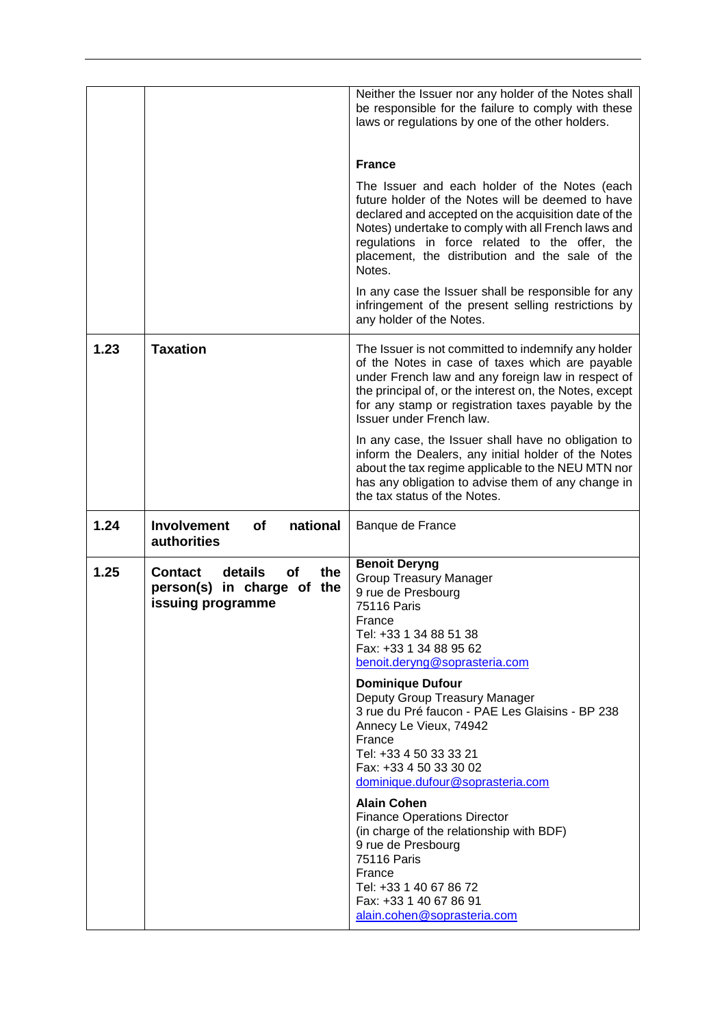|      |                                                                                                  | Neither the Issuer nor any holder of the Notes shall<br>be responsible for the failure to comply with these<br>laws or regulations by one of the other holders.                                                                                                                                                                                                                                                                                                                                         |
|------|--------------------------------------------------------------------------------------------------|---------------------------------------------------------------------------------------------------------------------------------------------------------------------------------------------------------------------------------------------------------------------------------------------------------------------------------------------------------------------------------------------------------------------------------------------------------------------------------------------------------|
|      |                                                                                                  |                                                                                                                                                                                                                                                                                                                                                                                                                                                                                                         |
|      |                                                                                                  | <b>France</b>                                                                                                                                                                                                                                                                                                                                                                                                                                                                                           |
|      |                                                                                                  | The Issuer and each holder of the Notes (each<br>future holder of the Notes will be deemed to have<br>declared and accepted on the acquisition date of the<br>Notes) undertake to comply with all French laws and<br>regulations in force related to the offer, the<br>placement, the distribution and the sale of the<br>Notes.                                                                                                                                                                        |
|      |                                                                                                  | In any case the Issuer shall be responsible for any<br>infringement of the present selling restrictions by<br>any holder of the Notes.                                                                                                                                                                                                                                                                                                                                                                  |
| 1.23 | <b>Taxation</b>                                                                                  | The Issuer is not committed to indemnify any holder<br>of the Notes in case of taxes which are payable<br>under French law and any foreign law in respect of<br>the principal of, or the interest on, the Notes, except<br>for any stamp or registration taxes payable by the<br>Issuer under French law.                                                                                                                                                                                               |
|      |                                                                                                  | In any case, the Issuer shall have no obligation to<br>inform the Dealers, any initial holder of the Notes<br>about the tax regime applicable to the NEU MTN nor<br>has any obligation to advise them of any change in<br>the tax status of the Notes.                                                                                                                                                                                                                                                  |
| 1.24 | <b>Involvement</b><br>national<br><b>of</b><br>authorities                                       | Banque de France                                                                                                                                                                                                                                                                                                                                                                                                                                                                                        |
| 1.25 | the<br><b>Contact</b><br>details<br><b>of</b><br>person(s) in charge of the<br>issuing programme | <b>Benoit Deryng</b><br><b>Group Treasury Manager</b><br>9 rue de Presbourg<br><b>75116 Paris</b><br>France<br>Tel: +33 1 34 88 51 38<br>Fax: +33 1 34 88 95 62<br>benoit.deryng@soprasteria.com<br><b>Dominique Dufour</b><br>Deputy Group Treasury Manager<br>3 rue du Pré faucon - PAE Les Glaisins - BP 238<br>Annecy Le Vieux, 74942<br>France<br>Tel: +33 4 50 33 33 21<br>Fax: +33 4 50 33 30 02<br>dominique.dufour@soprasteria.com<br><b>Alain Cohen</b><br><b>Finance Operations Director</b> |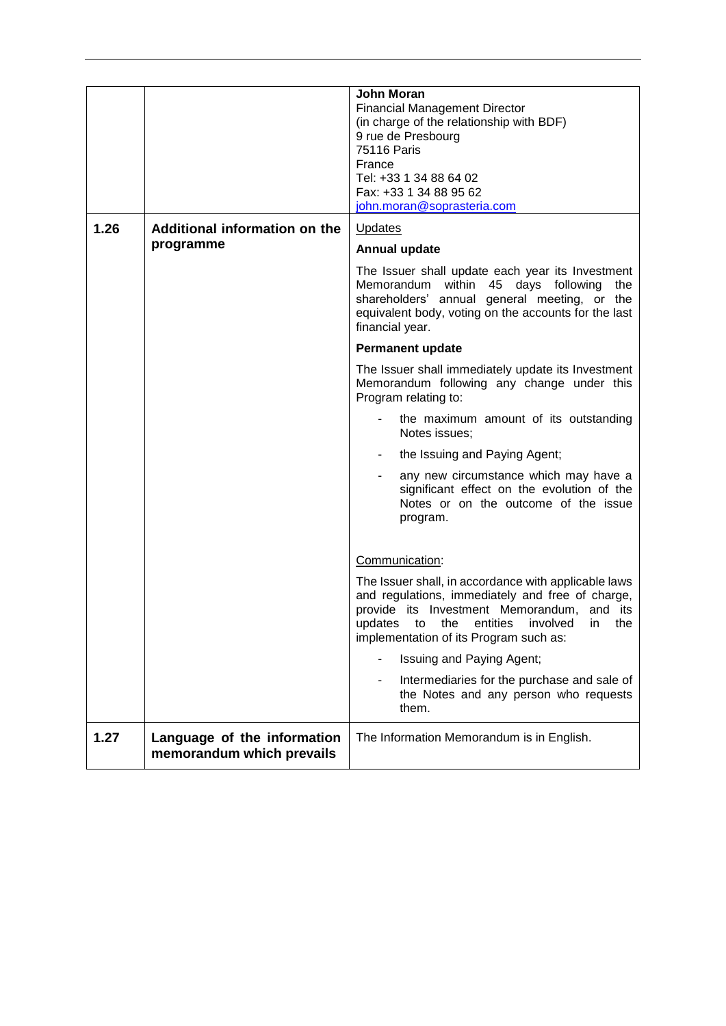|      |                                                          | John Moran<br><b>Financial Management Director</b><br>(in charge of the relationship with BDF)<br>9 rue de Presbourg<br><b>75116 Paris</b><br>France<br>Tel: +33 1 34 88 64 02<br>Fax: +33 1 34 88 95 62<br>john.moran@soprasteria.com      |
|------|----------------------------------------------------------|---------------------------------------------------------------------------------------------------------------------------------------------------------------------------------------------------------------------------------------------|
| 1.26 | Additional information on the                            | <b>Updates</b>                                                                                                                                                                                                                              |
|      | programme                                                | Annual update                                                                                                                                                                                                                               |
|      |                                                          | The Issuer shall update each year its Investment<br>Memorandum within 45 days following<br>the<br>shareholders' annual general meeting, or the<br>equivalent body, voting on the accounts for the last<br>financial year.                   |
|      |                                                          | <b>Permanent update</b>                                                                                                                                                                                                                     |
|      |                                                          | The Issuer shall immediately update its Investment<br>Memorandum following any change under this<br>Program relating to:                                                                                                                    |
|      |                                                          | the maximum amount of its outstanding<br>Notes issues;                                                                                                                                                                                      |
|      |                                                          | the Issuing and Paying Agent;                                                                                                                                                                                                               |
|      |                                                          | any new circumstance which may have a<br>significant effect on the evolution of the<br>Notes or on the outcome of the issue<br>program.                                                                                                     |
|      |                                                          | Communication:                                                                                                                                                                                                                              |
|      |                                                          | The Issuer shall, in accordance with applicable laws<br>and regulations, immediately and free of charge,<br>provide its Investment Memorandum, and its<br>updates to the entities involved in the<br>implementation of its Program such as: |
|      |                                                          | Issuing and Paying Agent;                                                                                                                                                                                                                   |
|      |                                                          | Intermediaries for the purchase and sale of<br>the Notes and any person who requests<br>them.                                                                                                                                               |
| 1.27 | Language of the information<br>memorandum which prevails | The Information Memorandum is in English.                                                                                                                                                                                                   |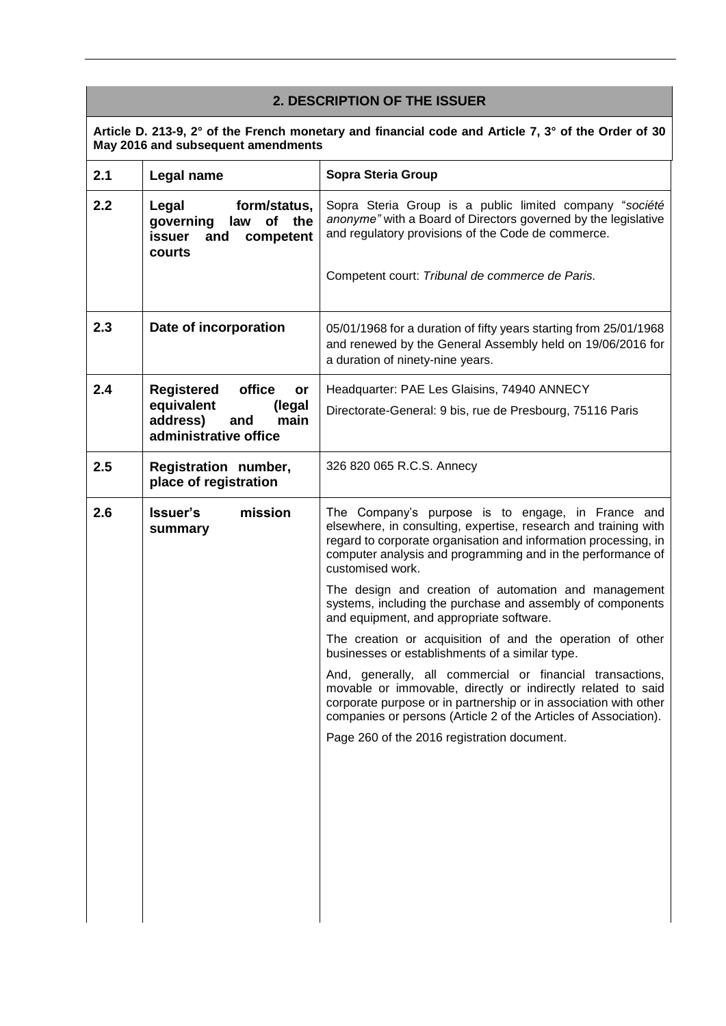## **2. DESCRIPTION OF THE ISSUER**

**Article D. 213-9, 2° of the French monetary and financial code and Article 7, 3° of the Order of 30 May 2016 and subsequent amendments**

| 2.1 | Legal name                                                                                             | Sopra Steria Group                                                                                                                                                                                                                                                         |
|-----|--------------------------------------------------------------------------------------------------------|----------------------------------------------------------------------------------------------------------------------------------------------------------------------------------------------------------------------------------------------------------------------------|
| 2.2 | Legal<br>form/status,<br>of the<br>governing<br>law<br>issuer<br>and competent<br>courts               | Sopra Steria Group is a public limited company "société<br>anonyme" with a Board of Directors governed by the legislative<br>and regulatory provisions of the Code de commerce.                                                                                            |
|     |                                                                                                        | Competent court: Tribunal de commerce de Paris.                                                                                                                                                                                                                            |
| 2.3 | Date of incorporation                                                                                  | 05/01/1968 for a duration of fifty years starting from 25/01/1968<br>and renewed by the General Assembly held on 19/06/2016 for<br>a duration of ninety-nine years.                                                                                                        |
| 2.4 | office<br>Registered<br>or<br>equivalent<br>(legal<br>address)<br>main<br>and<br>administrative office | Headquarter: PAE Les Glaisins, 74940 ANNECY<br>Directorate-General: 9 bis, rue de Presbourg, 75116 Paris                                                                                                                                                                   |
| 2.5 | Registration number,<br>place of registration                                                          | 326 820 065 R.C.S. Annecy                                                                                                                                                                                                                                                  |
| 2.6 | mission<br><b>Issuer's</b><br>summary                                                                  | The Company's purpose is to engage, in France and<br>elsewhere, in consulting, expertise, research and training with<br>regard to corporate organisation and information processing, in<br>computer analysis and programming and in the performance of<br>customised work. |
|     |                                                                                                        | The design and creation of automation and management<br>systems, including the purchase and assembly of components<br>and equipment, and appropriate software.                                                                                                             |
|     |                                                                                                        | The creation or acquisition of and the operation of other<br>businesses or establishments of a similar type.                                                                                                                                                               |
|     |                                                                                                        | And, generally, all commercial or financial transactions,<br>movable or immovable, directly or indirectly related to said<br>corporate purpose or in partnership or in association with other<br>companies or persons (Article 2 of the Articles of Association).          |
|     |                                                                                                        | Page 260 of the 2016 registration document.                                                                                                                                                                                                                                |
|     |                                                                                                        |                                                                                                                                                                                                                                                                            |
|     |                                                                                                        |                                                                                                                                                                                                                                                                            |
|     |                                                                                                        |                                                                                                                                                                                                                                                                            |
|     |                                                                                                        |                                                                                                                                                                                                                                                                            |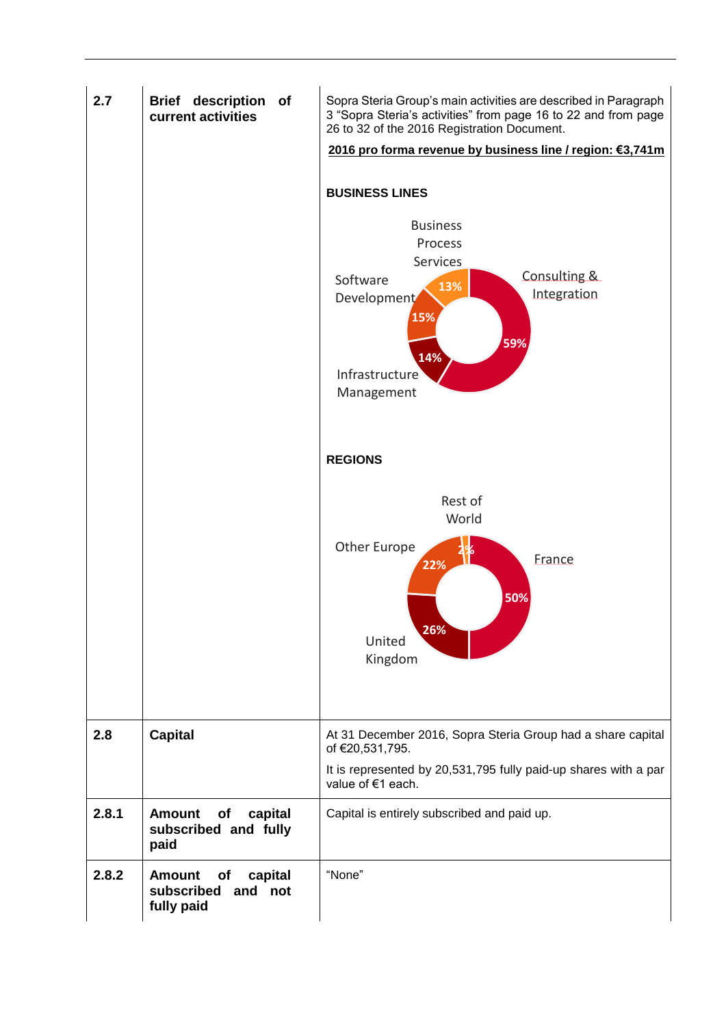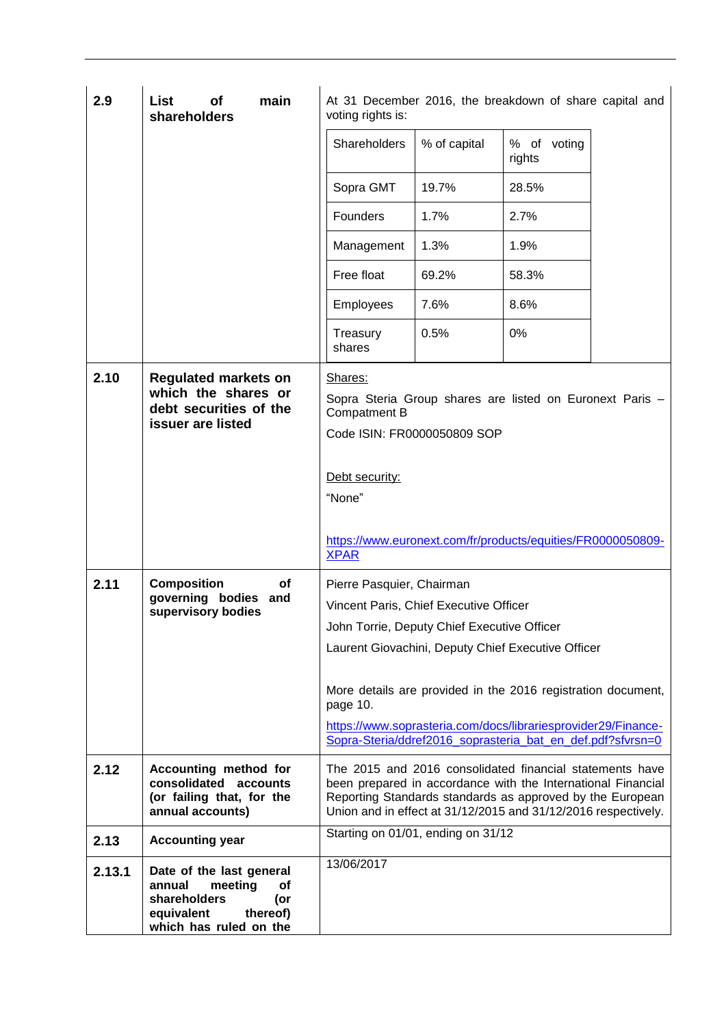| 2.9          | main<br>List<br>of<br>shareholders                                                                                                                                          | voting rights is:                                                                                                                                                                                                                                                                                                                                                                                        |              | At 31 December 2016, the breakdown of share capital and                                                                                                                                                                                                 |  |
|--------------|-----------------------------------------------------------------------------------------------------------------------------------------------------------------------------|----------------------------------------------------------------------------------------------------------------------------------------------------------------------------------------------------------------------------------------------------------------------------------------------------------------------------------------------------------------------------------------------------------|--------------|---------------------------------------------------------------------------------------------------------------------------------------------------------------------------------------------------------------------------------------------------------|--|
|              |                                                                                                                                                                             | Shareholders                                                                                                                                                                                                                                                                                                                                                                                             | % of capital | % of voting<br>rights                                                                                                                                                                                                                                   |  |
|              |                                                                                                                                                                             | Sopra GMT                                                                                                                                                                                                                                                                                                                                                                                                | 19.7%        | 28.5%                                                                                                                                                                                                                                                   |  |
|              |                                                                                                                                                                             | Founders                                                                                                                                                                                                                                                                                                                                                                                                 | 1.7%         | 2.7%                                                                                                                                                                                                                                                    |  |
|              |                                                                                                                                                                             | Management                                                                                                                                                                                                                                                                                                                                                                                               | 1.3%         | 1.9%                                                                                                                                                                                                                                                    |  |
|              |                                                                                                                                                                             | Free float                                                                                                                                                                                                                                                                                                                                                                                               | 69.2%        | 58.3%                                                                                                                                                                                                                                                   |  |
|              |                                                                                                                                                                             | <b>Employees</b>                                                                                                                                                                                                                                                                                                                                                                                         | 7.6%         | 8.6%                                                                                                                                                                                                                                                    |  |
|              |                                                                                                                                                                             | Treasury<br>shares                                                                                                                                                                                                                                                                                                                                                                                       | 0.5%         | 0%                                                                                                                                                                                                                                                      |  |
| 2.10<br>2.11 | <b>Regulated markets on</b><br>which the shares or<br>debt securities of the<br>issuer are listed<br><b>Composition</b><br>οf<br>governing bodies and<br>supervisory bodies | Shares:<br>Sopra Steria Group shares are listed on Euronext Paris -<br>Compatment B<br>Code ISIN: FR0000050809 SOP<br>Debt security:<br>"None"<br>https://www.euronext.com/fr/products/equities/FR0000050809-<br><b>XPAR</b><br>Pierre Pasquier, Chairman<br>Vincent Paris, Chief Executive Officer<br>John Torrie, Deputy Chief Executive Officer<br>Laurent Giovachini, Deputy Chief Executive Officer |              |                                                                                                                                                                                                                                                         |  |
|              |                                                                                                                                                                             | page 10.                                                                                                                                                                                                                                                                                                                                                                                                 |              | More details are provided in the 2016 registration document,<br>https://www.soprasteria.com/docs/librariesprovider29/Finance-<br>Sopra-Steria/ddref2016 soprasteria bat en def.pdf?sfvrsn=0                                                             |  |
| 2.12         | Accounting method for<br>consolidated accounts<br>(or failing that, for the<br>annual accounts)                                                                             |                                                                                                                                                                                                                                                                                                                                                                                                          |              | The 2015 and 2016 consolidated financial statements have<br>been prepared in accordance with the International Financial<br>Reporting Standards standards as approved by the European<br>Union and in effect at 31/12/2015 and 31/12/2016 respectively. |  |
| 2.13         | <b>Accounting year</b>                                                                                                                                                      | Starting on 01/01, ending on 31/12                                                                                                                                                                                                                                                                                                                                                                       |              |                                                                                                                                                                                                                                                         |  |
| 2.13.1       | Date of the last general<br>annual<br>meeting<br>Οf<br>shareholders<br>(or<br>thereof)<br>equivalent<br>which has ruled on the                                              | 13/06/2017                                                                                                                                                                                                                                                                                                                                                                                               |              |                                                                                                                                                                                                                                                         |  |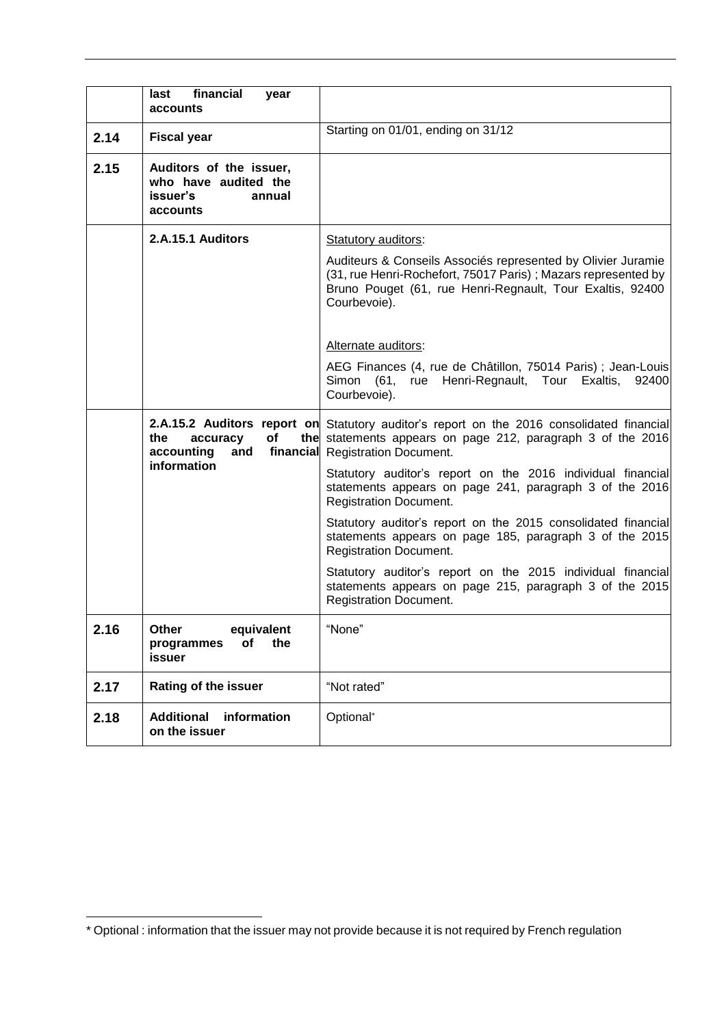|      | financial<br>last<br>year<br>accounts                                             |                                                                                                                                                                                                            |
|------|-----------------------------------------------------------------------------------|------------------------------------------------------------------------------------------------------------------------------------------------------------------------------------------------------------|
| 2.14 | <b>Fiscal year</b>                                                                | Starting on 01/01, ending on 31/12                                                                                                                                                                         |
| 2.15 | Auditors of the issuer,<br>who have audited the<br>issuer's<br>annual<br>accounts |                                                                                                                                                                                                            |
|      | 2.A.15.1 Auditors                                                                 | Statutory auditors:                                                                                                                                                                                        |
|      |                                                                                   | Auditeurs & Conseils Associés represented by Olivier Juramie<br>(31, rue Henri-Rochefort, 75017 Paris); Mazars represented by<br>Bruno Pouget (61, rue Henri-Regnault, Tour Exaltis, 92400<br>Courbevoie). |
|      |                                                                                   | Alternate auditors:                                                                                                                                                                                        |
|      |                                                                                   | AEG Finances (4, rue de Châtillon, 75014 Paris) ; Jean-Louis<br>Simon (61, rue Henri-Regnault, Tour Exaltis,<br>92400<br>Courbevoie).                                                                      |
|      | the<br>Οf<br>accuracy<br>financial<br>accounting<br>and                           | <b>2.A.15.2 Auditors report on</b> Statutory auditor's report on the 2016 consolidated financial<br>the statements appears on page 212, paragraph 3 of the 2016<br><b>Registration Document.</b>           |
|      | information                                                                       | Statutory auditor's report on the 2016 individual financial<br>statements appears on page 241, paragraph 3 of the 2016<br><b>Registration Document.</b>                                                    |
|      |                                                                                   | Statutory auditor's report on the 2015 consolidated financial<br>statements appears on page 185, paragraph 3 of the 2015<br><b>Registration Document.</b>                                                  |
|      |                                                                                   | Statutory auditor's report on the 2015 individual financial<br>statements appears on page 215, paragraph 3 of the 2015<br><b>Registration Document.</b>                                                    |
| 2.16 | Other<br>equivalent<br>of<br>the<br>programmes<br>issuer                          | "None"                                                                                                                                                                                                     |
| 2.17 | Rating of the issuer                                                              | "Not rated"                                                                                                                                                                                                |
| 2.18 | <b>Additional</b><br>information<br>on the issuer                                 | Optional*                                                                                                                                                                                                  |

1

<sup>\*</sup> Optional : information that the issuer may not provide because it is not required by French regulation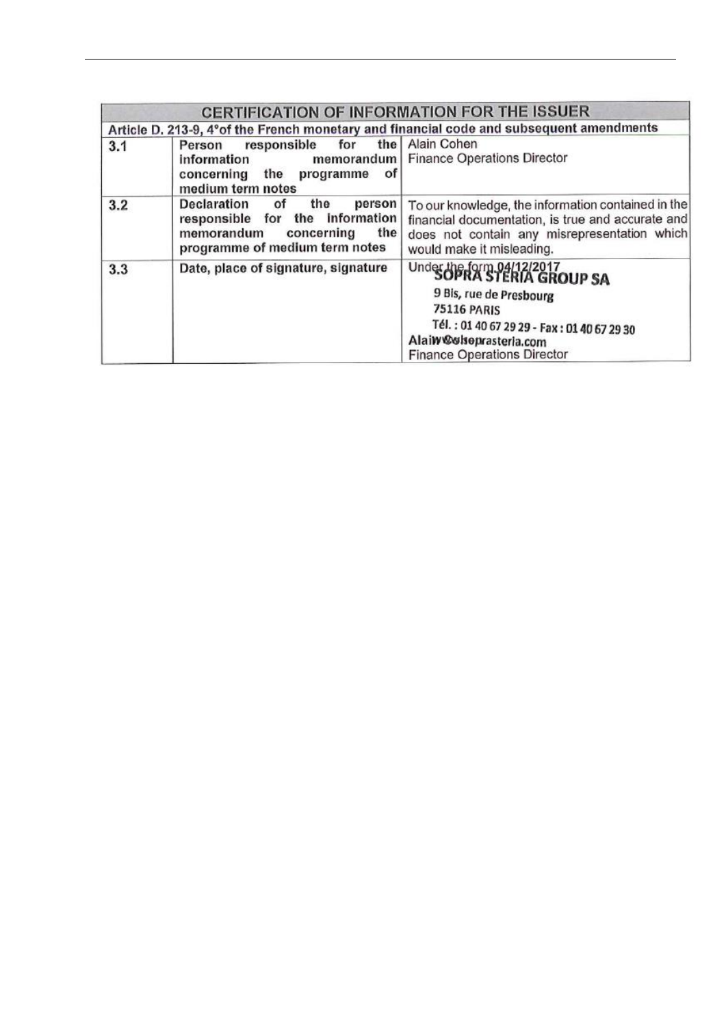|     | <b>CERTIFICATION OF INFORMATION FOR THE ISSUER</b>                                                                                               |                                                                                                                                                                                                                    |
|-----|--------------------------------------------------------------------------------------------------------------------------------------------------|--------------------------------------------------------------------------------------------------------------------------------------------------------------------------------------------------------------------|
|     |                                                                                                                                                  | Article D. 213-9, 4° of the French monetary and financial code and subsequent amendments                                                                                                                           |
| 3.1 | responsible for<br>Person<br>information<br>concerning the<br>οf<br>programme<br>medium term notes                                               | the   Alain Cohen<br>memorandum   Finance Operations Director                                                                                                                                                      |
| 3.2 | Declaration<br>the<br>person<br>Οf<br>information<br>responsible for<br>the<br>memorandum<br>the<br>concerning<br>programme of medium term notes | To our knowledge, the information contained in the<br>financial documentation, is true and accurate and<br>does not contain any misrepresentation which<br>would make it misleading.                               |
| 3.3 | Date, place of signature, signature                                                                                                              | Under the form 04/12/2017<br>SOPRA STERIA GROUP SA<br>9 Bis, rue de Presbourg<br><b>75116 PARIS</b><br>Tél.: 01 40 67 29 29 - Fax: 01 40 67 29 30<br>Alaiw@clseprasterla.com<br><b>Finance Operations Director</b> |